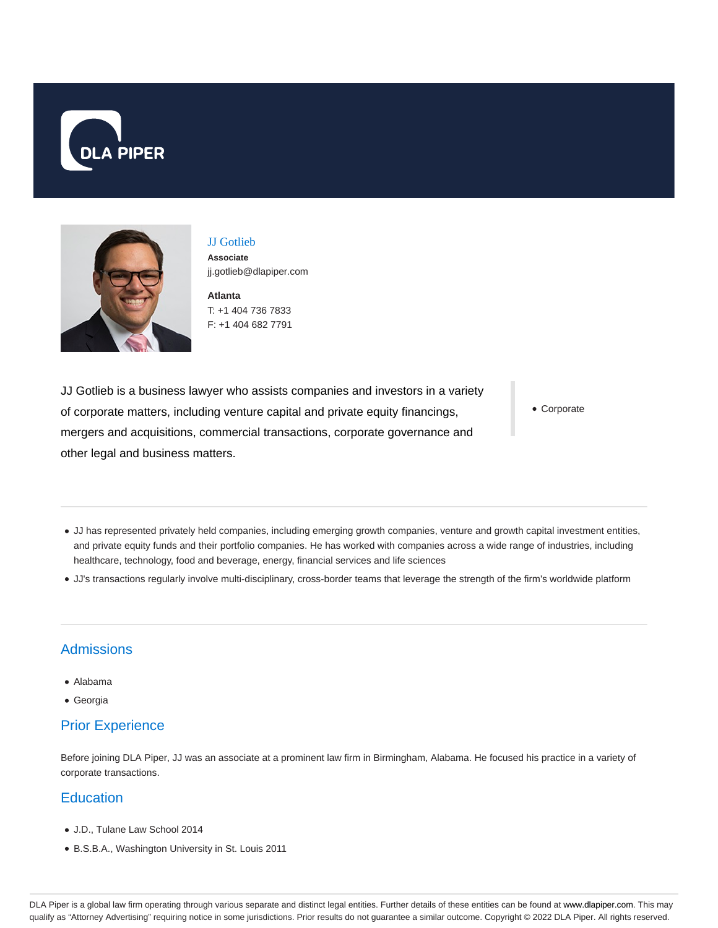



JJ Gotlieb **Associate**

**Atlanta** T: +1 404 736 7833 jj.gotlieb@dlapiper.com

F: +1 404 682 7791

JJ Gotlieb is a business lawyer who assists companies and investors in a variety of corporate matters, including venture capital and private equity financings, mergers and acquisitions, commercial transactions, corporate governance and other legal and business matters.

Corporate

- JJ has represented privately held companies, including emerging growth companies, venture and growth capital investment entities, and private equity funds and their portfolio companies. He has worked with companies across a wide range of industries, including healthcare, technology, food and beverage, energy, financial services and life sciences
- JJ's transactions regularly involve multi-disciplinary, cross-border teams that leverage the strength of the firm's worldwide platform

## **Admissions**

- Alabama
- Georgia

## Prior Experience

Before joining DLA Piper, JJ was an associate at a prominent law firm in Birmingham, Alabama. He focused his practice in a variety of corporate transactions.

## **Education**

- J.D., Tulane Law School 2014
- B.S.B.A., Washington University in St. Louis 2011

DLA Piper is a global law firm operating through various separate and distinct legal entities. Further details of these entities can be found at www.dlapiper.com. This may qualify as "Attorney Advertising" requiring notice in some jurisdictions. Prior results do not guarantee a similar outcome. Copyright © 2022 DLA Piper. All rights reserved.